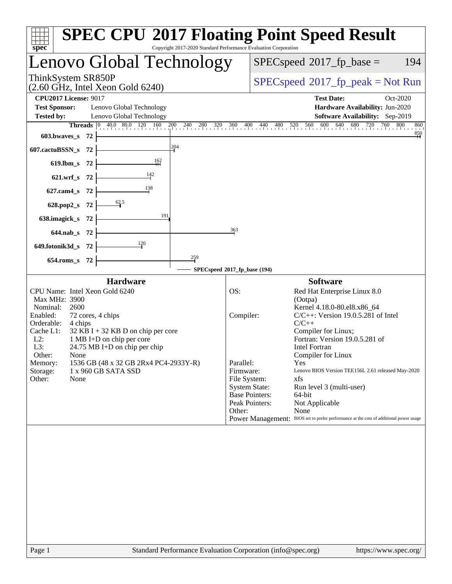| $spec^*$                                                                                                                    | <b>SPEC CPU®2017 Floating Point Speed Result</b><br>Copyright 2017-2020 Standard Performance Evaluation Corporation |
|-----------------------------------------------------------------------------------------------------------------------------|---------------------------------------------------------------------------------------------------------------------|
| enovo Global Technology                                                                                                     | $SPEC speed^{\circ}2017$ _fp_base =<br>194                                                                          |
| ThinkSystem SR850P<br>$(2.60 \text{ GHz}, \text{Intel Xeon Gold } 6240)$                                                    | $SPEC speed^{\circ}2017\_fp\_peak = Not Run$                                                                        |
| <b>CPU2017 License: 9017</b>                                                                                                | <b>Test Date:</b><br>Oct-2020                                                                                       |
| <b>Test Sponsor:</b><br>Lenovo Global Technology<br><b>Tested by:</b><br>Lenovo Global Technology                           | Hardware Availability: Jun-2020<br>Software Availability: Sep-2019                                                  |
| <b>Threads</b> $\begin{bmatrix} 0 & 40.0 & 80.0 & 120 & 160 \end{bmatrix}$<br>$\frac{200}{1}$ $\frac{240}{1}$<br>280<br>320 | 560<br>600<br>640<br>680<br>720<br>760<br>800<br>360<br>$400_1$<br>440<br>520<br>860<br>$^{480}$                    |
| 603.bwaves_s 72                                                                                                             | $\frac{850}{4}$                                                                                                     |
| 204<br>607.cactuBSSN_s<br>-72                                                                                               |                                                                                                                     |
| $\frac{162}{11}$<br>619.lbm_s 72                                                                                            |                                                                                                                     |
| 142<br>$621.wrf$ <sub>S</sub><br>- 72                                                                                       |                                                                                                                     |
| 138<br>$627$ .cam4 s<br>-72                                                                                                 |                                                                                                                     |
| 62.5<br>628.pop2_s<br>-72                                                                                                   |                                                                                                                     |
| 191<br>638.imagick_s<br>-72                                                                                                 |                                                                                                                     |
| 644.nab_s 72                                                                                                                | 363                                                                                                                 |
| 120<br>649.fotonik3d_s<br>- 72                                                                                              |                                                                                                                     |
| $\frac{259}{9}$<br>654.roms s 72                                                                                            |                                                                                                                     |
|                                                                                                                             | SPECspeed®2017_fp_base (194)                                                                                        |
| <b>Hardware</b>                                                                                                             | <b>Software</b>                                                                                                     |
| CPU Name: Intel Xeon Gold 6240<br>Max MHz: 3900                                                                             | OS:<br>Red Hat Enterprise Linux 8.0<br>(Ootpa)                                                                      |
| Nominal:<br>2600<br>Enabled:                                                                                                | Kernel 4.18.0-80.el8.x86_64<br>$C/C++$ : Version 19.0.5.281 of Intel<br>Compiler:                                   |
| 72 cores, 4 chips<br>Orderable:<br>4 chips                                                                                  | $C/C++$                                                                                                             |
| Cache L1:<br>$32$ KB I + 32 KB D on chip per core<br>1 MB I+D on chip per core<br>$L2$ :                                    | Compiler for Linux;<br>Fortran: Version 19.0.5.281 of                                                               |
| L3:<br>$24.75 \text{ MB I+D}$ on chip per chip                                                                              | <b>Intel Fortran</b>                                                                                                |
| Other:<br>None<br>1536 GB (48 x 32 GB 2Rx4 PC4-2933Y-R)<br>Memory:                                                          | Compiler for Linux<br>Parallel:<br><b>Yes</b>                                                                       |
| 1 x 960 GB SATA SSD<br>Storage:<br>Other:<br>None                                                                           | Firmware:<br>Lenovo BIOS Version TEE156L 2.61 released May-2020<br>xfs<br>File System:                              |
|                                                                                                                             | <b>System State:</b><br>Run level 3 (multi-user)                                                                    |
|                                                                                                                             | <b>Base Pointers:</b><br>64-bit<br>Peak Pointers:<br>Not Applicable                                                 |
|                                                                                                                             | Other:<br>None<br>Power Management: BIOS set to prefer performance at the cost of additional power usage            |
|                                                                                                                             |                                                                                                                     |
| Page 1                                                                                                                      | Standard Performance Evaluation Corporation (info@spec.org)<br>https://www.spec.org/                                |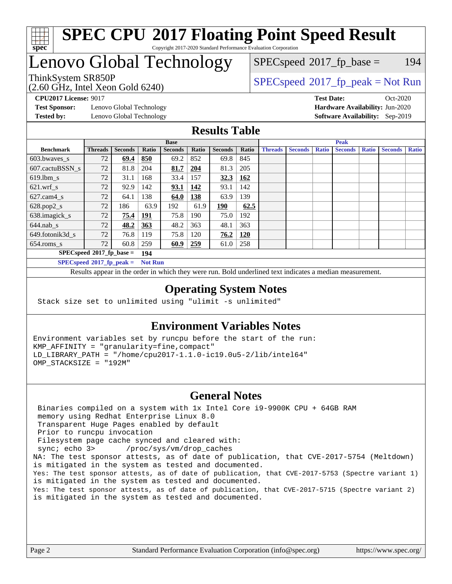

#### **[SPEC CPU](http://www.spec.org/auto/cpu2017/Docs/result-fields.html#SPECCPU2017FloatingPointSpeedResult)[2017 Floating Point Speed Result](http://www.spec.org/auto/cpu2017/Docs/result-fields.html#SPECCPU2017FloatingPointSpeedResult)** Copyright 2017-2020 Standard Performance Evaluation Corporation

# Lenovo Global Technology

(2.60 GHz, Intel Xeon Gold 6240)

 $SPECspeed^{\circledcirc}2017_fp\_base = 194$  $SPECspeed^{\circledcirc}2017_fp\_base = 194$ 

# ThinkSystem SR850P<br>  $(2.60 \text{ GHz, Intel Yoon Gold } 6240)$  [SPECspeed](http://www.spec.org/auto/cpu2017/Docs/result-fields.html#SPECspeed2017fppeak)<sup>®</sup>[2017\\_fp\\_peak = N](http://www.spec.org/auto/cpu2017/Docs/result-fields.html#SPECspeed2017fppeak)ot Run

**[Test Sponsor:](http://www.spec.org/auto/cpu2017/Docs/result-fields.html#TestSponsor)** Lenovo Global Technology **[Hardware Availability:](http://www.spec.org/auto/cpu2017/Docs/result-fields.html#HardwareAvailability)** Jun-2020 **[Tested by:](http://www.spec.org/auto/cpu2017/Docs/result-fields.html#Testedby)** Lenovo Global Technology **[Software Availability:](http://www.spec.org/auto/cpu2017/Docs/result-fields.html#SoftwareAvailability)** Sep-2019

**[CPU2017 License:](http://www.spec.org/auto/cpu2017/Docs/result-fields.html#CPU2017License)** 9017 **[Test Date:](http://www.spec.org/auto/cpu2017/Docs/result-fields.html#TestDate)** Oct-2020

### **[Results Table](http://www.spec.org/auto/cpu2017/Docs/result-fields.html#ResultsTable)**

|                             | <b>Base</b>                 |                |                |                |       | <b>Peak</b>    |            |                |                |              |                |              |                |              |
|-----------------------------|-----------------------------|----------------|----------------|----------------|-------|----------------|------------|----------------|----------------|--------------|----------------|--------------|----------------|--------------|
| <b>Benchmark</b>            | <b>Threads</b>              | <b>Seconds</b> | Ratio          | <b>Seconds</b> | Ratio | <b>Seconds</b> | Ratio      | <b>Threads</b> | <b>Seconds</b> | <b>Ratio</b> | <b>Seconds</b> | <b>Ratio</b> | <b>Seconds</b> | <b>Ratio</b> |
| 603.bwayes s                | 72                          | 69.4           | 850            | 69.2           | 852   | 69.8           | 845        |                |                |              |                |              |                |              |
| 607.cactuBSSN s             | 72                          | 81.8           | 204            | 81.7           | 204   | 81.3           | 205        |                |                |              |                |              |                |              |
| $619.1$ bm s                | 72                          | 31.1           | 168            | 33.4           | 157   | 32.3           | 162        |                |                |              |                |              |                |              |
| $621.wrf$ s                 | 72                          | 92.9           | 142            | 93.1           | 142   | 93.1           | 142        |                |                |              |                |              |                |              |
| $627$ .cam $4 \text{ s}$    | 72                          | 64.1           | 138            | 64.0           | 138   | 63.9           | 139        |                |                |              |                |              |                |              |
| $628.pop2_s$                | 72                          | 186            | 63.9           | 192            | 61.9  | 190            | 62.5       |                |                |              |                |              |                |              |
| 638.imagick_s               | 72                          | 75.4           | 191            | 75.8           | 190   | 75.0           | 192        |                |                |              |                |              |                |              |
| $644$ .nab s                | 72                          | 48.2           | <u>363</u>     | 48.2           | 363   | 48.1           | 363        |                |                |              |                |              |                |              |
| 649.fotonik3d s             | 72                          | 76.8           | 119            | 75.8           | 120   | 76.2           | <b>120</b> |                |                |              |                |              |                |              |
| $654$ .roms s               | 72                          | 60.8           | 259            | 60.9           | 259   | 61.0           | 258        |                |                |              |                |              |                |              |
|                             | $SPECspeed*2017_fp\_base =$ |                | 194            |                |       |                |            |                |                |              |                |              |                |              |
| $SPECspeed*2017_fp\_peak =$ |                             |                | <b>Not Run</b> |                |       |                |            |                |                |              |                |              |                |              |

Results appear in the [order in which they were run.](http://www.spec.org/auto/cpu2017/Docs/result-fields.html#RunOrder) Bold underlined text [indicates a median measurement](http://www.spec.org/auto/cpu2017/Docs/result-fields.html#Median).

#### **[Operating System Notes](http://www.spec.org/auto/cpu2017/Docs/result-fields.html#OperatingSystemNotes)**

Stack size set to unlimited using "ulimit -s unlimited"

#### **[Environment Variables Notes](http://www.spec.org/auto/cpu2017/Docs/result-fields.html#EnvironmentVariablesNotes)**

Environment variables set by runcpu before the start of the run: KMP\_AFFINITY = "granularity=fine,compact" LD\_LIBRARY\_PATH = "/home/cpu2017-1.1.0-ic19.0u5-2/lib/intel64" OMP\_STACKSIZE = "192M"

#### **[General Notes](http://www.spec.org/auto/cpu2017/Docs/result-fields.html#GeneralNotes)**

 Binaries compiled on a system with 1x Intel Core i9-9900K CPU + 64GB RAM memory using Redhat Enterprise Linux 8.0 Transparent Huge Pages enabled by default Prior to runcpu invocation Filesystem page cache synced and cleared with: sync; echo 3> /proc/sys/vm/drop\_caches NA: The test sponsor attests, as of date of publication, that CVE-2017-5754 (Meltdown) is mitigated in the system as tested and documented. Yes: The test sponsor attests, as of date of publication, that CVE-2017-5753 (Spectre variant 1) is mitigated in the system as tested and documented. Yes: The test sponsor attests, as of date of publication, that CVE-2017-5715 (Spectre variant 2) is mitigated in the system as tested and documented.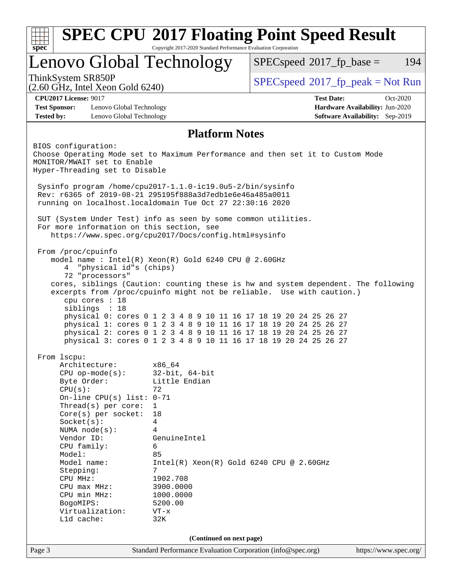| spec                                                                                                                    | Copyright 2017-2020 Standard Performance Evaluation Corporation |                                                                                                                                      |                                        |  |  |  |
|-------------------------------------------------------------------------------------------------------------------------|-----------------------------------------------------------------|--------------------------------------------------------------------------------------------------------------------------------------|----------------------------------------|--|--|--|
| Lenovo Global Technology<br>$SPEC speed^{\circ}2017$ _fp_base =<br>194                                                  |                                                                 |                                                                                                                                      |                                        |  |  |  |
| ThinkSystem SR850P                                                                                                      |                                                                 | $SPEC speed^{\circ}2017\_fp\_peak = Not Run$                                                                                         |                                        |  |  |  |
| $(2.60 \text{ GHz}, \text{Intel Xeon Gold } 6240)$                                                                      |                                                                 |                                                                                                                                      |                                        |  |  |  |
| <b>CPU2017 License: 9017</b>                                                                                            |                                                                 | <b>Test Date:</b>                                                                                                                    | $Oct-2020$                             |  |  |  |
| <b>Test Sponsor:</b><br>Lenovo Global Technology                                                                        |                                                                 |                                                                                                                                      | Hardware Availability: Jun-2020        |  |  |  |
| <b>Tested by:</b><br>Lenovo Global Technology                                                                           |                                                                 |                                                                                                                                      | <b>Software Availability:</b> Sep-2019 |  |  |  |
|                                                                                                                         | <b>Platform Notes</b>                                           |                                                                                                                                      |                                        |  |  |  |
| BIOS configuration:                                                                                                     |                                                                 |                                                                                                                                      |                                        |  |  |  |
|                                                                                                                         |                                                                 | Choose Operating Mode set to Maximum Performance and then set it to Custom Mode                                                      |                                        |  |  |  |
| MONITOR/MWAIT set to Enable<br>Hyper-Threading set to Disable                                                           |                                                                 |                                                                                                                                      |                                        |  |  |  |
|                                                                                                                         |                                                                 |                                                                                                                                      |                                        |  |  |  |
| Sysinfo program /home/cpu2017-1.1.0-ic19.0u5-2/bin/sysinfo<br>Rev: r6365 of 2019-08-21 295195f888a3d7edble6e46a485a0011 |                                                                 |                                                                                                                                      |                                        |  |  |  |
| running on localhost.localdomain Tue Oct 27 22:30:16 2020                                                               |                                                                 |                                                                                                                                      |                                        |  |  |  |
|                                                                                                                         |                                                                 |                                                                                                                                      |                                        |  |  |  |
| SUT (System Under Test) info as seen by some common utilities.                                                          |                                                                 |                                                                                                                                      |                                        |  |  |  |
| For more information on this section, see                                                                               | https://www.spec.org/cpu2017/Docs/config.html#sysinfo           |                                                                                                                                      |                                        |  |  |  |
|                                                                                                                         |                                                                 |                                                                                                                                      |                                        |  |  |  |
| From /proc/cpuinfo                                                                                                      |                                                                 |                                                                                                                                      |                                        |  |  |  |
|                                                                                                                         | model name : Intel(R) Xeon(R) Gold 6240 CPU @ 2.60GHz           |                                                                                                                                      |                                        |  |  |  |
| "physical id"s (chips)<br>4<br>72 "processors"                                                                          |                                                                 |                                                                                                                                      |                                        |  |  |  |
|                                                                                                                         |                                                                 | cores, siblings (Caution: counting these is hw and system dependent. The following                                                   |                                        |  |  |  |
|                                                                                                                         |                                                                 | excerpts from /proc/cpuinfo might not be reliable. Use with caution.)                                                                |                                        |  |  |  |
| cpu cores : 18                                                                                                          |                                                                 |                                                                                                                                      |                                        |  |  |  |
| siblings : 18                                                                                                           |                                                                 |                                                                                                                                      |                                        |  |  |  |
|                                                                                                                         |                                                                 | physical 0: cores 0 1 2 3 4 8 9 10 11 16 17 18 19 20 24 25 26 27<br>physical 1: cores 0 1 2 3 4 8 9 10 11 16 17 18 19 20 24 25 26 27 |                                        |  |  |  |
|                                                                                                                         |                                                                 | physical 2: cores 0 1 2 3 4 8 9 10 11 16 17 18 19 20 24 25 26 27                                                                     |                                        |  |  |  |
|                                                                                                                         |                                                                 | physical 3: cores 0 1 2 3 4 8 9 10 11 16 17 18 19 20 24 25 26 27                                                                     |                                        |  |  |  |
|                                                                                                                         |                                                                 |                                                                                                                                      |                                        |  |  |  |
| From 1scpu:                                                                                                             |                                                                 |                                                                                                                                      |                                        |  |  |  |
| Architecture:                                                                                                           | x86_64                                                          |                                                                                                                                      |                                        |  |  |  |
| $CPU$ op-mode( $s$ ):<br>Byte Order:                                                                                    | $32$ -bit, $64$ -bit<br>Little Endian                           |                                                                                                                                      |                                        |  |  |  |
| CPU(s):                                                                                                                 | 72                                                              |                                                                                                                                      |                                        |  |  |  |
| On-line CPU(s) list: $0-71$                                                                                             |                                                                 |                                                                                                                                      |                                        |  |  |  |
| Thread(s) per core:                                                                                                     | $\mathbf 1$                                                     |                                                                                                                                      |                                        |  |  |  |
| Core(s) per socket:                                                                                                     | 18                                                              |                                                                                                                                      |                                        |  |  |  |
| Socket(s):                                                                                                              | 4                                                               |                                                                                                                                      |                                        |  |  |  |
| NUMA $node(s):$                                                                                                         | 4<br>GenuineIntel                                               |                                                                                                                                      |                                        |  |  |  |
| Vendor ID:<br>CPU family:                                                                                               | 6                                                               |                                                                                                                                      |                                        |  |  |  |
| Model:                                                                                                                  | 85                                                              |                                                                                                                                      |                                        |  |  |  |
| Model name:                                                                                                             | $Intel(R) Xeon(R) Gold 6240 CPU @ 2.60GHz$                      |                                                                                                                                      |                                        |  |  |  |
| Stepping:                                                                                                               | 7                                                               |                                                                                                                                      |                                        |  |  |  |
| CPU MHz:                                                                                                                | 1902.708                                                        |                                                                                                                                      |                                        |  |  |  |
| CPU max MHz:                                                                                                            | 3900.0000                                                       |                                                                                                                                      |                                        |  |  |  |
| CPU min MHz:                                                                                                            | 1000.0000                                                       |                                                                                                                                      |                                        |  |  |  |
| BogoMIPS:<br>Virtualization:                                                                                            | 5200.00                                                         |                                                                                                                                      |                                        |  |  |  |
| L1d cache:                                                                                                              | $VT - x$<br>32K                                                 |                                                                                                                                      |                                        |  |  |  |
|                                                                                                                         |                                                                 |                                                                                                                                      |                                        |  |  |  |
|                                                                                                                         |                                                                 |                                                                                                                                      |                                        |  |  |  |
|                                                                                                                         | (Continued on next page)                                        |                                                                                                                                      |                                        |  |  |  |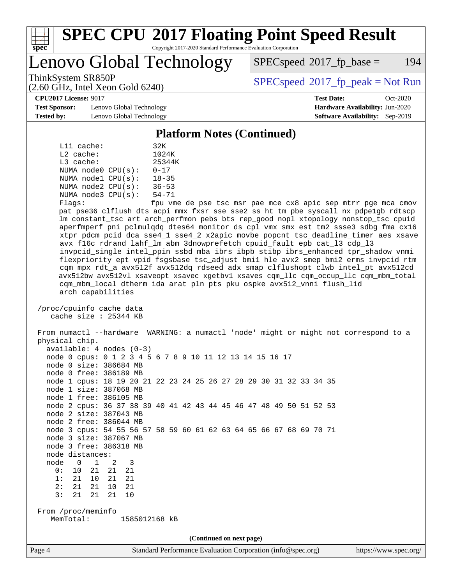

# **[SPEC CPU](http://www.spec.org/auto/cpu2017/Docs/result-fields.html#SPECCPU2017FloatingPointSpeedResult)[2017 Floating Point Speed Result](http://www.spec.org/auto/cpu2017/Docs/result-fields.html#SPECCPU2017FloatingPointSpeedResult)**

Copyright 2017-2020 Standard Performance Evaluation Corporation

Lenovo Global Technology

 $SPEC speed^{\circ}2017$  fp base = 194

(2.60 GHz, Intel Xeon Gold 6240)

ThinkSystem SR850P<br>  $\begin{array}{c}\n\text{SPEC speed} \text{°2017\_fp\_peak} = \text{Not Run} \\
\text{SPEC speed} \text{°2017\_fp\_peak} = \text{Not Run} \\
\end{array}$ 

**[CPU2017 License:](http://www.spec.org/auto/cpu2017/Docs/result-fields.html#CPU2017License)** 9017 **[Test Date:](http://www.spec.org/auto/cpu2017/Docs/result-fields.html#TestDate)** Oct-2020

**[Test Sponsor:](http://www.spec.org/auto/cpu2017/Docs/result-fields.html#TestSponsor)** Lenovo Global Technology **[Hardware Availability:](http://www.spec.org/auto/cpu2017/Docs/result-fields.html#HardwareAvailability)** Jun-2020 **[Tested by:](http://www.spec.org/auto/cpu2017/Docs/result-fields.html#Testedby)** Lenovo Global Technology **[Software Availability:](http://www.spec.org/auto/cpu2017/Docs/result-fields.html#SoftwareAvailability)** Sep-2019

**[Platform Notes \(Continued\)](http://www.spec.org/auto/cpu2017/Docs/result-fields.html#PlatformNotes)**

|       | Lli cache:  |                         | 32K                        |
|-------|-------------|-------------------------|----------------------------|
|       | $L2$ cache: |                         | 1024K                      |
|       | $L3$ cache: |                         | 25344K                     |
|       |             | NUMA $node0$ $CPU(s)$ : | $0 - 17$                   |
|       |             | NUMA nodel CPU(s):      | $18 - 35$                  |
|       |             | NUMA $node2$ $CPU(s)$ : | $36 - 53$                  |
|       |             | NUMA $node3$ $CPU(s)$ : | $54 - 71$                  |
| F1200 |             |                         | $f_{\text{min}}$ $\tau$ me |

Flags: fpu vme de pse tsc msr pae mce cx8 apic sep mtrr pge mca cmov pat pse36 clflush dts acpi mmx fxsr sse sse2 ss ht tm pbe syscall nx pdpe1gb rdtscp lm constant\_tsc art arch\_perfmon pebs bts rep\_good nopl xtopology nonstop\_tsc cpuid aperfmperf pni pclmulqdq dtes64 monitor ds\_cpl vmx smx est tm2 ssse3 sdbg fma cx16 xtpr pdcm pcid dca sse4\_1 sse4\_2 x2apic movbe popcnt tsc\_deadline\_timer aes xsave avx f16c rdrand lahf\_lm abm 3dnowprefetch cpuid\_fault epb cat\_l3 cdp\_l3 invpcid\_single intel\_ppin ssbd mba ibrs ibpb stibp ibrs\_enhanced tpr\_shadow vnmi flexpriority ept vpid fsgsbase tsc\_adjust bmi1 hle avx2 smep bmi2 erms invpcid rtm cqm mpx rdt\_a avx512f avx512dq rdseed adx smap clflushopt clwb intel\_pt avx512cd avx512bw avx512vl xsaveopt xsavec xgetbv1 xsaves cqm\_llc cqm\_occup\_llc cqm\_mbm\_total cqm\_mbm\_local dtherm ida arat pln pts pku ospke avx512\_vnni flush\_l1d arch\_capabilities

 /proc/cpuinfo cache data cache size : 25344 KB

 From numactl --hardware WARNING: a numactl 'node' might or might not correspond to a physical chip. available: 4 nodes (0-3) node 0 cpus: 0 1 2 3 4 5 6 7 8 9 10 11 12 13 14 15 16 17

 node 0 size: 386684 MB node 0 free: 386189 MB

 node 1 cpus: 18 19 20 21 22 23 24 25 26 27 28 29 30 31 32 33 34 35 node 1 size: 387068 MB

 node 1 free: 386105 MB node 2 cpus: 36 37 38 39 40 41 42 43 44 45 46 47 48 49 50 51 52 53

 node 2 size: 387043 MB node 2 free: 386044 MB

 node 3 cpus: 54 55 56 57 58 59 60 61 62 63 64 65 66 67 68 69 70 71 node 3 size: 387067 MB

node 3 free: 386318 MB

node distances:

 node 0 1 2 3 0: 10 21 21 21

 1: 21 10 21 21 2: 21 21 10 21

3: 21 21 21 10

 From /proc/meminfo MemTotal: 1585012168 kB

**(Continued on next page)**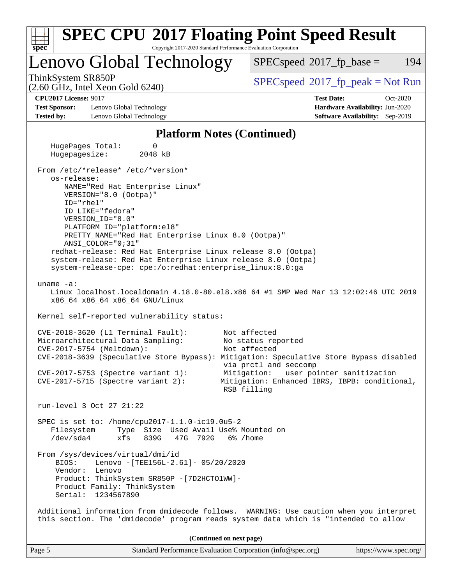| <b>SPEC CPU®2017 Floating Point Speed Result</b>                                                                                                                                                                                                                                                                                                                                                                                                                                           |                                                                                                                                                                                        |
|--------------------------------------------------------------------------------------------------------------------------------------------------------------------------------------------------------------------------------------------------------------------------------------------------------------------------------------------------------------------------------------------------------------------------------------------------------------------------------------------|----------------------------------------------------------------------------------------------------------------------------------------------------------------------------------------|
| spec<br>Copyright 2017-2020 Standard Performance Evaluation Corporation<br>Lenovo Global Technology                                                                                                                                                                                                                                                                                                                                                                                        | 194<br>$SPEC speed^{\circ}2017$ _fp_base =                                                                                                                                             |
| ThinkSystem SR850P<br>$(2.60 \text{ GHz}, \text{Intel Xeon Gold } 6240)$                                                                                                                                                                                                                                                                                                                                                                                                                   | $SPEC speed^{\circ}2017\_fp\_peak = Not Run$                                                                                                                                           |
| <b>CPU2017 License: 9017</b><br><b>Test Sponsor:</b><br>Lenovo Global Technology<br><b>Tested by:</b><br>Lenovo Global Technology                                                                                                                                                                                                                                                                                                                                                          | <b>Test Date:</b><br>Oct-2020<br>Hardware Availability: Jun-2020<br>Software Availability: Sep-2019                                                                                    |
| <b>Platform Notes (Continued)</b>                                                                                                                                                                                                                                                                                                                                                                                                                                                          |                                                                                                                                                                                        |
| HugePages_Total:<br>0<br>Hugepagesize:<br>2048 kB                                                                                                                                                                                                                                                                                                                                                                                                                                          |                                                                                                                                                                                        |
| From /etc/*release* /etc/*version*<br>os-release:<br>NAME="Red Hat Enterprise Linux"<br>VERSION="8.0 (Ootpa)"<br>$ID="rhe1"$<br>ID_LIKE="fedora"<br>VERSION_ID="8.0"<br>PLATFORM_ID="platform:el8"<br>PRETTY_NAME="Red Hat Enterprise Linux 8.0 (Ootpa)"<br>ANSI_COLOR="0;31"<br>redhat-release: Red Hat Enterprise Linux release 8.0 (Ootpa)<br>system-release: Red Hat Enterprise Linux release 8.0 (Ootpa)<br>system-release-cpe: cpe:/o:redhat:enterprise_linux:8.0:ga<br>uname $-a$ : | Linux localhost.localdomain 4.18.0-80.el8.x86_64 #1 SMP Wed Mar 13 12:02:46 UTC 2019                                                                                                   |
| x86_64 x86_64 x86_64 GNU/Linux<br>Kernel self-reported vulnerability status:                                                                                                                                                                                                                                                                                                                                                                                                               |                                                                                                                                                                                        |
| CVE-2018-3620 (L1 Terminal Fault):<br>Microarchitectural Data Sampling:<br>CVE-2017-5754 (Meltdown):<br>CVE-2018-3639 (Speculative Store Bypass): Mitigation: Speculative Store Bypass disabled<br>CVE-2017-5753 (Spectre variant 1):<br>$CVE-2017-5715$ (Spectre variant 2):                                                                                                                                                                                                              | Not affected<br>No status reported<br>Not affected<br>via prctl and seccomp<br>Mitigation: __user pointer sanitization<br>Mitigation: Enhanced IBRS, IBPB: conditional,<br>RSB filling |
| run-level 3 Oct 27 21:22                                                                                                                                                                                                                                                                                                                                                                                                                                                                   |                                                                                                                                                                                        |
| SPEC is set to: /home/cpu2017-1.1.0-ic19.0u5-2<br>Type Size Used Avail Use% Mounted on<br>Filesystem<br>$/\text{dev/sda4}$<br>xfs<br>839G<br>47G<br>792G                                                                                                                                                                                                                                                                                                                                   | 6% /home                                                                                                                                                                               |
| From /sys/devices/virtual/dmi/id<br>BIOS:<br>Lenovo - [TEE156L-2.61]- 05/20/2020<br>Vendor: Lenovo<br>Product: ThinkSystem SR850P - [7D2HCTO1WW]-<br>Product Family: ThinkSystem<br>Serial: 1234567890                                                                                                                                                                                                                                                                                     |                                                                                                                                                                                        |
| Additional information from dmidecode follows. WARNING: Use caution when you interpret<br>this section. The 'dmidecode' program reads system data which is "intended to allow                                                                                                                                                                                                                                                                                                              |                                                                                                                                                                                        |
| (Continued on next page)                                                                                                                                                                                                                                                                                                                                                                                                                                                                   |                                                                                                                                                                                        |
| Page 5<br>Standard Performance Evaluation Corporation (info@spec.org)                                                                                                                                                                                                                                                                                                                                                                                                                      | https://www.spec.org/                                                                                                                                                                  |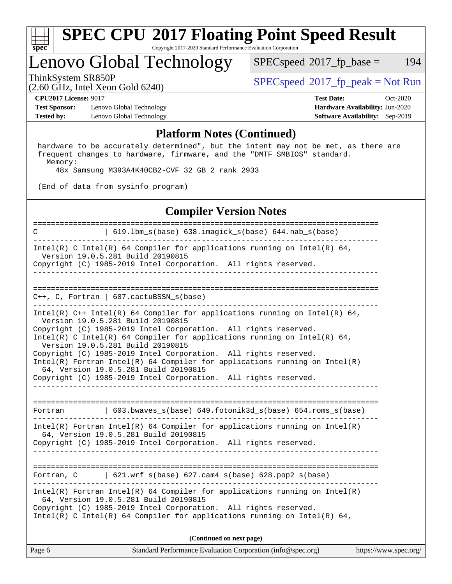

#### **[SPEC CPU](http://www.spec.org/auto/cpu2017/Docs/result-fields.html#SPECCPU2017FloatingPointSpeedResult)[2017 Floating Point Speed Result](http://www.spec.org/auto/cpu2017/Docs/result-fields.html#SPECCPU2017FloatingPointSpeedResult)** Copyright 2017-2020 Standard Performance Evaluation Corporation

# Lenovo Global Technology

 $SPECspeed^{\circledcirc}2017_fp\_base = 194$  $SPECspeed^{\circledcirc}2017_fp\_base = 194$ 

(2.60 GHz, Intel Xeon Gold 6240)

ThinkSystem SR850P<br>  $(2.60 \text{ GHz. Intel Yes} \cdot \text{Cold} \cdot 6240)$  [SPECspeed](http://www.spec.org/auto/cpu2017/Docs/result-fields.html#SPECspeed2017fppeak)®[2017\\_fp\\_peak = N](http://www.spec.org/auto/cpu2017/Docs/result-fields.html#SPECspeed2017fppeak)ot Run

**[Test Sponsor:](http://www.spec.org/auto/cpu2017/Docs/result-fields.html#TestSponsor)** Lenovo Global Technology **[Hardware Availability:](http://www.spec.org/auto/cpu2017/Docs/result-fields.html#HardwareAvailability)** Jun-2020 **[Tested by:](http://www.spec.org/auto/cpu2017/Docs/result-fields.html#Testedby)** Lenovo Global Technology **[Software Availability:](http://www.spec.org/auto/cpu2017/Docs/result-fields.html#SoftwareAvailability)** Sep-2019

**[CPU2017 License:](http://www.spec.org/auto/cpu2017/Docs/result-fields.html#CPU2017License)** 9017 **[Test Date:](http://www.spec.org/auto/cpu2017/Docs/result-fields.html#TestDate)** Oct-2020

#### **[Platform Notes \(Continued\)](http://www.spec.org/auto/cpu2017/Docs/result-fields.html#PlatformNotes)**

 hardware to be accurately determined", but the intent may not be met, as there are frequent changes to hardware, firmware, and the "DMTF SMBIOS" standard. Memory:

48x Samsung M393A4K40CB2-CVF 32 GB 2 rank 2933

(End of data from sysinfo program)

#### **[Compiler Version Notes](http://www.spec.org/auto/cpu2017/Docs/result-fields.html#CompilerVersionNotes)**

Page 6 Standard Performance Evaluation Corporation [\(info@spec.org\)](mailto:info@spec.org) <https://www.spec.org/> ============================================================================== C | 619.lbm\_s(base) 638.imagick\_s(base) 644.nab\_s(base) ------------------------------------------------------------------------------ Intel(R) C Intel(R) 64 Compiler for applications running on Intel(R)  $64$ , Version 19.0.5.281 Build 20190815 Copyright (C) 1985-2019 Intel Corporation. All rights reserved. ------------------------------------------------------------------------------ ============================================================================== C++, C, Fortran | 607.cactuBSSN\_s(base) ------------------------------------------------------------------------------ Intel(R) C++ Intel(R) 64 Compiler for applications running on Intel(R) 64, Version 19.0.5.281 Build 20190815 Copyright (C) 1985-2019 Intel Corporation. All rights reserved. Intel(R) C Intel(R) 64 Compiler for applications running on Intel(R)  $64$ , Version 19.0.5.281 Build 20190815 Copyright (C) 1985-2019 Intel Corporation. All rights reserved. Intel(R) Fortran Intel(R) 64 Compiler for applications running on Intel(R) 64, Version 19.0.5.281 Build 20190815 Copyright (C) 1985-2019 Intel Corporation. All rights reserved. ------------------------------------------------------------------------------ ============================================================================== Fortran | 603.bwaves\_s(base) 649.fotonik3d\_s(base) 654.roms\_s(base) ------------------------------------------------------------------------------ Intel(R) Fortran Intel(R) 64 Compiler for applications running on Intel(R) 64, Version 19.0.5.281 Build 20190815 Copyright (C) 1985-2019 Intel Corporation. All rights reserved. ------------------------------------------------------------------------------ ============================================================================== Fortran, C | 621.wrf\_s(base) 627.cam4\_s(base) 628.pop2\_s(base) ------------------------------------------------------------------------------ Intel(R) Fortran Intel(R) 64 Compiler for applications running on Intel(R) 64, Version 19.0.5.281 Build 20190815 Copyright (C) 1985-2019 Intel Corporation. All rights reserved. Intel(R) C Intel(R) 64 Compiler for applications running on Intel(R)  $64$ , **(Continued on next page)**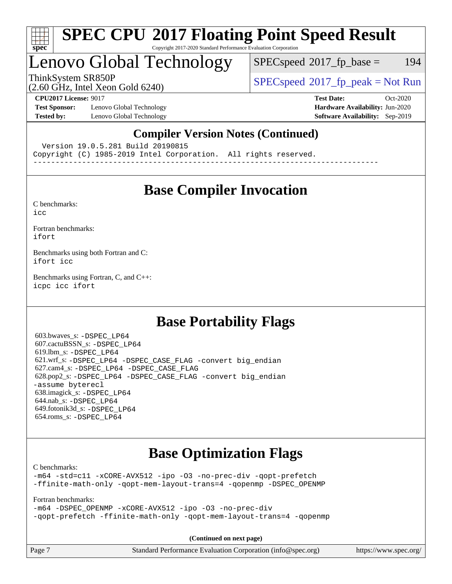

#### **[SPEC CPU](http://www.spec.org/auto/cpu2017/Docs/result-fields.html#SPECCPU2017FloatingPointSpeedResult)[2017 Floating Point Speed Result](http://www.spec.org/auto/cpu2017/Docs/result-fields.html#SPECCPU2017FloatingPointSpeedResult)** Copyright 2017-2020 Standard Performance Evaluation Corporation

# Lenovo Global Technology

 $SPECspeed^{\circledcirc}2017_fp\_base = 194$  $SPECspeed^{\circledcirc}2017_fp\_base = 194$ 

(2.60 GHz, Intel Xeon Gold 6240)

ThinkSystem SR850P<br>  $SPECspeed*2017_fp\_peak = Not Run$  $SPECspeed*2017_fp\_peak = Not Run$ 

**[Test Sponsor:](http://www.spec.org/auto/cpu2017/Docs/result-fields.html#TestSponsor)** Lenovo Global Technology **[Hardware Availability:](http://www.spec.org/auto/cpu2017/Docs/result-fields.html#HardwareAvailability)** Jun-2020 **[Tested by:](http://www.spec.org/auto/cpu2017/Docs/result-fields.html#Testedby)** Lenovo Global Technology **[Software Availability:](http://www.spec.org/auto/cpu2017/Docs/result-fields.html#SoftwareAvailability)** Sep-2019

**[CPU2017 License:](http://www.spec.org/auto/cpu2017/Docs/result-fields.html#CPU2017License)** 9017 **[Test Date:](http://www.spec.org/auto/cpu2017/Docs/result-fields.html#TestDate)** Oct-2020

### **[Compiler Version Notes \(Continued\)](http://www.spec.org/auto/cpu2017/Docs/result-fields.html#CompilerVersionNotes)**

Version 19.0.5.281 Build 20190815

Copyright (C) 1985-2019 Intel Corporation. All rights reserved.

------------------------------------------------------------------------------

## **[Base Compiler Invocation](http://www.spec.org/auto/cpu2017/Docs/result-fields.html#BaseCompilerInvocation)**

[C benchmarks](http://www.spec.org/auto/cpu2017/Docs/result-fields.html#Cbenchmarks): [icc](http://www.spec.org/cpu2017/results/res2020q4/cpu2017-20201109-24362.flags.html#user_CCbase_intel_icc_66fc1ee009f7361af1fbd72ca7dcefbb700085f36577c54f309893dd4ec40d12360134090235512931783d35fd58c0460139e722d5067c5574d8eaf2b3e37e92)

[Fortran benchmarks](http://www.spec.org/auto/cpu2017/Docs/result-fields.html#Fortranbenchmarks):

[ifort](http://www.spec.org/cpu2017/results/res2020q4/cpu2017-20201109-24362.flags.html#user_FCbase_intel_ifort_8111460550e3ca792625aed983ce982f94888b8b503583aa7ba2b8303487b4d8a21a13e7191a45c5fd58ff318f48f9492884d4413fa793fd88dd292cad7027ca)

[Benchmarks using both Fortran and C](http://www.spec.org/auto/cpu2017/Docs/result-fields.html#BenchmarksusingbothFortranandC): [ifort](http://www.spec.org/cpu2017/results/res2020q4/cpu2017-20201109-24362.flags.html#user_CC_FCbase_intel_ifort_8111460550e3ca792625aed983ce982f94888b8b503583aa7ba2b8303487b4d8a21a13e7191a45c5fd58ff318f48f9492884d4413fa793fd88dd292cad7027ca) [icc](http://www.spec.org/cpu2017/results/res2020q4/cpu2017-20201109-24362.flags.html#user_CC_FCbase_intel_icc_66fc1ee009f7361af1fbd72ca7dcefbb700085f36577c54f309893dd4ec40d12360134090235512931783d35fd58c0460139e722d5067c5574d8eaf2b3e37e92)

[Benchmarks using Fortran, C, and C++:](http://www.spec.org/auto/cpu2017/Docs/result-fields.html#BenchmarksusingFortranCandCXX) [icpc](http://www.spec.org/cpu2017/results/res2020q4/cpu2017-20201109-24362.flags.html#user_CC_CXX_FCbase_intel_icpc_c510b6838c7f56d33e37e94d029a35b4a7bccf4766a728ee175e80a419847e808290a9b78be685c44ab727ea267ec2f070ec5dc83b407c0218cded6866a35d07) [icc](http://www.spec.org/cpu2017/results/res2020q4/cpu2017-20201109-24362.flags.html#user_CC_CXX_FCbase_intel_icc_66fc1ee009f7361af1fbd72ca7dcefbb700085f36577c54f309893dd4ec40d12360134090235512931783d35fd58c0460139e722d5067c5574d8eaf2b3e37e92) [ifort](http://www.spec.org/cpu2017/results/res2020q4/cpu2017-20201109-24362.flags.html#user_CC_CXX_FCbase_intel_ifort_8111460550e3ca792625aed983ce982f94888b8b503583aa7ba2b8303487b4d8a21a13e7191a45c5fd58ff318f48f9492884d4413fa793fd88dd292cad7027ca)

## **[Base Portability Flags](http://www.spec.org/auto/cpu2017/Docs/result-fields.html#BasePortabilityFlags)**

 603.bwaves\_s: [-DSPEC\\_LP64](http://www.spec.org/cpu2017/results/res2020q4/cpu2017-20201109-24362.flags.html#suite_basePORTABILITY603_bwaves_s_DSPEC_LP64) 607.cactuBSSN\_s: [-DSPEC\\_LP64](http://www.spec.org/cpu2017/results/res2020q4/cpu2017-20201109-24362.flags.html#suite_basePORTABILITY607_cactuBSSN_s_DSPEC_LP64) 619.lbm\_s: [-DSPEC\\_LP64](http://www.spec.org/cpu2017/results/res2020q4/cpu2017-20201109-24362.flags.html#suite_basePORTABILITY619_lbm_s_DSPEC_LP64) 621.wrf\_s: [-DSPEC\\_LP64](http://www.spec.org/cpu2017/results/res2020q4/cpu2017-20201109-24362.flags.html#suite_basePORTABILITY621_wrf_s_DSPEC_LP64) [-DSPEC\\_CASE\\_FLAG](http://www.spec.org/cpu2017/results/res2020q4/cpu2017-20201109-24362.flags.html#b621.wrf_s_baseCPORTABILITY_DSPEC_CASE_FLAG) [-convert big\\_endian](http://www.spec.org/cpu2017/results/res2020q4/cpu2017-20201109-24362.flags.html#user_baseFPORTABILITY621_wrf_s_convert_big_endian_c3194028bc08c63ac5d04de18c48ce6d347e4e562e8892b8bdbdc0214820426deb8554edfa529a3fb25a586e65a3d812c835984020483e7e73212c4d31a38223) 627.cam4\_s: [-DSPEC\\_LP64](http://www.spec.org/cpu2017/results/res2020q4/cpu2017-20201109-24362.flags.html#suite_basePORTABILITY627_cam4_s_DSPEC_LP64) [-DSPEC\\_CASE\\_FLAG](http://www.spec.org/cpu2017/results/res2020q4/cpu2017-20201109-24362.flags.html#b627.cam4_s_baseCPORTABILITY_DSPEC_CASE_FLAG) 628.pop2\_s: [-DSPEC\\_LP64](http://www.spec.org/cpu2017/results/res2020q4/cpu2017-20201109-24362.flags.html#suite_basePORTABILITY628_pop2_s_DSPEC_LP64) [-DSPEC\\_CASE\\_FLAG](http://www.spec.org/cpu2017/results/res2020q4/cpu2017-20201109-24362.flags.html#b628.pop2_s_baseCPORTABILITY_DSPEC_CASE_FLAG) [-convert big\\_endian](http://www.spec.org/cpu2017/results/res2020q4/cpu2017-20201109-24362.flags.html#user_baseFPORTABILITY628_pop2_s_convert_big_endian_c3194028bc08c63ac5d04de18c48ce6d347e4e562e8892b8bdbdc0214820426deb8554edfa529a3fb25a586e65a3d812c835984020483e7e73212c4d31a38223) [-assume byterecl](http://www.spec.org/cpu2017/results/res2020q4/cpu2017-20201109-24362.flags.html#user_baseFPORTABILITY628_pop2_s_assume_byterecl_7e47d18b9513cf18525430bbf0f2177aa9bf368bc7a059c09b2c06a34b53bd3447c950d3f8d6c70e3faf3a05c8557d66a5798b567902e8849adc142926523472) 638.imagick\_s: [-DSPEC\\_LP64](http://www.spec.org/cpu2017/results/res2020q4/cpu2017-20201109-24362.flags.html#suite_basePORTABILITY638_imagick_s_DSPEC_LP64) 644.nab\_s: [-DSPEC\\_LP64](http://www.spec.org/cpu2017/results/res2020q4/cpu2017-20201109-24362.flags.html#suite_basePORTABILITY644_nab_s_DSPEC_LP64) 649.fotonik3d\_s: [-DSPEC\\_LP64](http://www.spec.org/cpu2017/results/res2020q4/cpu2017-20201109-24362.flags.html#suite_basePORTABILITY649_fotonik3d_s_DSPEC_LP64) 654.roms\_s: [-DSPEC\\_LP64](http://www.spec.org/cpu2017/results/res2020q4/cpu2017-20201109-24362.flags.html#suite_basePORTABILITY654_roms_s_DSPEC_LP64)

## **[Base Optimization Flags](http://www.spec.org/auto/cpu2017/Docs/result-fields.html#BaseOptimizationFlags)**

[C benchmarks](http://www.spec.org/auto/cpu2017/Docs/result-fields.html#Cbenchmarks):

[-m64](http://www.spec.org/cpu2017/results/res2020q4/cpu2017-20201109-24362.flags.html#user_CCbase_m64-icc) [-std=c11](http://www.spec.org/cpu2017/results/res2020q4/cpu2017-20201109-24362.flags.html#user_CCbase_std-icc-std_0e1c27790398a4642dfca32ffe6c27b5796f9c2d2676156f2e42c9c44eaad0c049b1cdb667a270c34d979996257aeb8fc440bfb01818dbc9357bd9d174cb8524) [-xCORE-AVX512](http://www.spec.org/cpu2017/results/res2020q4/cpu2017-20201109-24362.flags.html#user_CCbase_f-xCORE-AVX512) [-ipo](http://www.spec.org/cpu2017/results/res2020q4/cpu2017-20201109-24362.flags.html#user_CCbase_f-ipo) [-O3](http://www.spec.org/cpu2017/results/res2020q4/cpu2017-20201109-24362.flags.html#user_CCbase_f-O3) [-no-prec-div](http://www.spec.org/cpu2017/results/res2020q4/cpu2017-20201109-24362.flags.html#user_CCbase_f-no-prec-div) [-qopt-prefetch](http://www.spec.org/cpu2017/results/res2020q4/cpu2017-20201109-24362.flags.html#user_CCbase_f-qopt-prefetch) [-ffinite-math-only](http://www.spec.org/cpu2017/results/res2020q4/cpu2017-20201109-24362.flags.html#user_CCbase_f_finite_math_only_cb91587bd2077682c4b38af759c288ed7c732db004271a9512da14a4f8007909a5f1427ecbf1a0fb78ff2a814402c6114ac565ca162485bbcae155b5e4258871) [-qopt-mem-layout-trans=4](http://www.spec.org/cpu2017/results/res2020q4/cpu2017-20201109-24362.flags.html#user_CCbase_f-qopt-mem-layout-trans_fa39e755916c150a61361b7846f310bcdf6f04e385ef281cadf3647acec3f0ae266d1a1d22d972a7087a248fd4e6ca390a3634700869573d231a252c784941a8) [-qopenmp](http://www.spec.org/cpu2017/results/res2020q4/cpu2017-20201109-24362.flags.html#user_CCbase_qopenmp_16be0c44f24f464004c6784a7acb94aca937f053568ce72f94b139a11c7c168634a55f6653758ddd83bcf7b8463e8028bb0b48b77bcddc6b78d5d95bb1df2967) [-DSPEC\\_OPENMP](http://www.spec.org/cpu2017/results/res2020q4/cpu2017-20201109-24362.flags.html#suite_CCbase_DSPEC_OPENMP)

[Fortran benchmarks](http://www.spec.org/auto/cpu2017/Docs/result-fields.html#Fortranbenchmarks):

[-m64](http://www.spec.org/cpu2017/results/res2020q4/cpu2017-20201109-24362.flags.html#user_FCbase_m64-icc) [-DSPEC\\_OPENMP](http://www.spec.org/cpu2017/results/res2020q4/cpu2017-20201109-24362.flags.html#suite_FCbase_DSPEC_OPENMP) [-xCORE-AVX512](http://www.spec.org/cpu2017/results/res2020q4/cpu2017-20201109-24362.flags.html#user_FCbase_f-xCORE-AVX512) [-ipo](http://www.spec.org/cpu2017/results/res2020q4/cpu2017-20201109-24362.flags.html#user_FCbase_f-ipo) [-O3](http://www.spec.org/cpu2017/results/res2020q4/cpu2017-20201109-24362.flags.html#user_FCbase_f-O3) [-no-prec-div](http://www.spec.org/cpu2017/results/res2020q4/cpu2017-20201109-24362.flags.html#user_FCbase_f-no-prec-div) [-qopt-prefetch](http://www.spec.org/cpu2017/results/res2020q4/cpu2017-20201109-24362.flags.html#user_FCbase_f-qopt-prefetch) [-ffinite-math-only](http://www.spec.org/cpu2017/results/res2020q4/cpu2017-20201109-24362.flags.html#user_FCbase_f_finite_math_only_cb91587bd2077682c4b38af759c288ed7c732db004271a9512da14a4f8007909a5f1427ecbf1a0fb78ff2a814402c6114ac565ca162485bbcae155b5e4258871) [-qopt-mem-layout-trans=4](http://www.spec.org/cpu2017/results/res2020q4/cpu2017-20201109-24362.flags.html#user_FCbase_f-qopt-mem-layout-trans_fa39e755916c150a61361b7846f310bcdf6f04e385ef281cadf3647acec3f0ae266d1a1d22d972a7087a248fd4e6ca390a3634700869573d231a252c784941a8) [-qopenmp](http://www.spec.org/cpu2017/results/res2020q4/cpu2017-20201109-24362.flags.html#user_FCbase_qopenmp_16be0c44f24f464004c6784a7acb94aca937f053568ce72f94b139a11c7c168634a55f6653758ddd83bcf7b8463e8028bb0b48b77bcddc6b78d5d95bb1df2967)

**(Continued on next page)**

| Page 7 | Standard Performance Evaluation Corporation (info@spec.org) | https://www.spec.org/ |
|--------|-------------------------------------------------------------|-----------------------|
|--------|-------------------------------------------------------------|-----------------------|